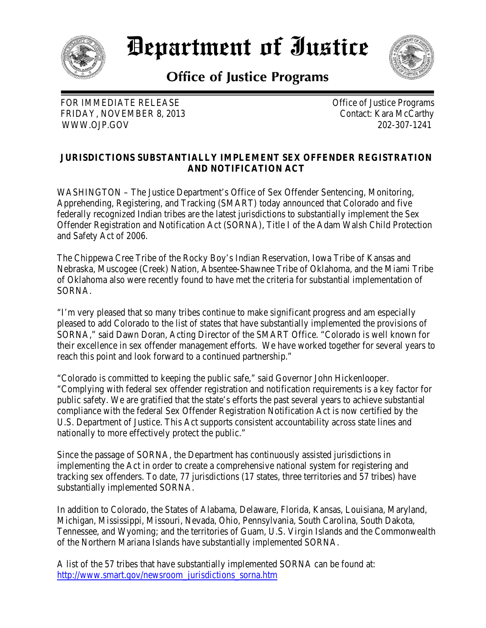

*Department of Iustice* 

**Office of Justice Programs** 



FOR IMMEDIATE RELEASE Office of Justice Programs FRIDAY, NOVEMBER 8, 2013 Contact: Kara McCarthy WWW.OJP.GOV 202-307-1241

## **JURISDICTIONS SUBSTANTIALLY IMPLEMENT SEX OFFENDER REGISTRATION AND NOTIFICATION ACT**

WASHINGTON – The Justice Department's Office of Sex Offender Sentencing, Monitoring, Apprehending, Registering, and Tracking (SMART) today announced that Colorado and five federally recognized Indian tribes are the latest jurisdictions to substantially implement the Sex Offender Registration and Notification Act (SORNA), Title I of the Adam Walsh Child Protection and Safety Act of 2006.

The Chippewa Cree Tribe of the Rocky Boy's Indian Reservation, Iowa Tribe of Kansas and Nebraska, Muscogee (Creek) Nation, Absentee-Shawnee Tribe of Oklahoma, and the Miami Tribe of Oklahoma also were recently found to have met the criteria for substantial implementation of SORNA.

"I'm very pleased that so many tribes continue to make significant progress and am especially pleased to add Colorado to the list of states that have substantially implemented the provisions of SORNA," said Dawn Doran, Acting Director of the SMART Office. "Colorado is well known for their excellence in sex offender management efforts. We have worked together for several years to reach this point and look forward to a continued partnership."

"Colorado is committed to keeping the public safe," said Governor John Hickenlooper. "Complying with federal sex offender registration and notification requirements is a key factor for public safety. We are gratified that the state's efforts the past several years to achieve substantial compliance with the federal Sex Offender Registration Notification Act is now certified by the U.S. Department of Justice. This Act supports consistent accountability across state lines and nationally to more effectively protect the public."

Since the passage of SORNA, the Department has continuously assisted jurisdictions in implementing the Act in order to create a comprehensive national system for registering and tracking sex offenders. To date, 77 jurisdictions (17 states, three territories and 57 tribes) have substantially implemented SORNA.

In addition to Colorado, the States of Alabama, Delaware, Florida, Kansas, Louisiana, Maryland, Michigan, Mississippi, Missouri, Nevada, Ohio, Pennsylvania, South Carolina, South Dakota, Tennessee, and Wyoming; and the territories of Guam, U.S. Virgin Islands and the Commonwealth of the Northern Mariana Islands have substantially implemented SORNA.

A list of the 57 tribes that have substantially implemented SORNA can be found at: [http://www.smart.gov/newsroom\\_jurisdictions\\_sorna.htm](http://www.smart.gov/newsroom_jurisdictions_sorna.htm)